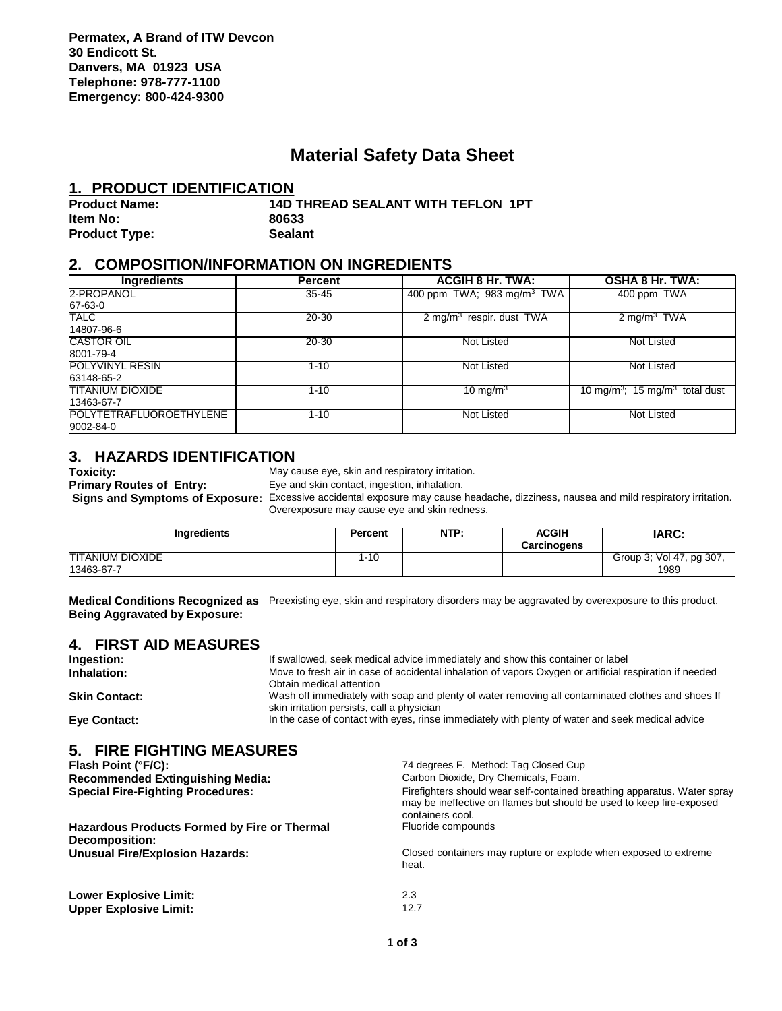## **Material Safety Data Sheet**

#### **1. PRODUCT IDENTIFICATION**

| <b>Product Name:</b> | <b>14D THREAD SEALANT WITH TEFLON 1PT</b> |
|----------------------|-------------------------------------------|
| ltem No:             | 80633                                     |
| <b>Product Type:</b> | <b>Sealant</b>                            |

#### **2. COMPOSITION/INFORMATION ON INGREDIENTS**

| <b>Ingredients</b>      | <b>Percent</b> | <b>ACGIH 8 Hr. TWA:</b>                | <b>OSHA 8 Hr. TWA:</b>                                 |
|-------------------------|----------------|----------------------------------------|--------------------------------------------------------|
| 2-PROPANOL              | $35 - 45$      | 400 ppm TWA; 983 mg/m <sup>3</sup> TWA | 400 ppm TWA                                            |
| 67-63-0                 |                |                                        |                                                        |
| <b>TALC</b>             | 20-30          | 2 mg/m $3$ respir. dust TWA            | 2 mg/m <sup>3</sup> TWA                                |
| 14807-96-6              |                |                                        |                                                        |
| <b>CASTOR OIL</b>       | 20-30          | Not Listed                             | Not Listed                                             |
| 8001-79-4               |                |                                        |                                                        |
| <b>POLYVINYL RESIN</b>  | $1 - 10$       | Not Listed                             | Not Listed                                             |
| 63148-65-2              |                |                                        |                                                        |
| <b>TITANIUM DIOXIDE</b> | $1 - 10$       | 10 mg/m $3$                            | 10 mg/m <sup>3</sup> ; 15 mg/m <sup>3</sup> total dust |
| 13463-67-7              |                |                                        |                                                        |
| POLYTETRAFLUOROETHYLENE | $1 - 10$       | Not Listed                             | Not Listed                                             |
| 9002-84-0               |                |                                        |                                                        |

# **3. HAZARDS IDENTIFICATION**<br>Toxicity: May c

**Toxicity:** May cause eye, skin and respiratory irritation.<br> **Primary Routes of Entry:** Eye and skin contact, ingestion, inhalation.

Eye and skin contact, ingestion, inhalation.  **Signs and Symptoms of Exposure:** Excessive accidental exposure may cause headache, dizziness, nausea and mild respiratory irritation.

Overexposure may cause eye and skin redness.

**Ingredients Percent NTP: ACGIH Carcinogens IARC:** TITANIUM DIOXIDE 13463-67-7 1-10 Group 3; Vol 47, pg 307, 1989

**Medical Conditions Recognized as** Preexisting eye, skin and respiratory disorders may be aggravated by overexposure to this product. **Being Aggravated by Exposure:**

### **4. FIRST AID MEASURES**

| Ingestion:                                                            |                                                                                                                                                                                                                                                     | If swallowed, seek medical advice immediately and show this container or label                                                                                       |  |  |  |  |
|-----------------------------------------------------------------------|-----------------------------------------------------------------------------------------------------------------------------------------------------------------------------------------------------------------------------------------------------|----------------------------------------------------------------------------------------------------------------------------------------------------------------------|--|--|--|--|
| Inhalation:                                                           |                                                                                                                                                                                                                                                     | Move to fresh air in case of accidental inhalation of vapors Oxygen or artificial respiration if needed<br>Obtain medical attention                                  |  |  |  |  |
| <b>Skin Contact:</b>                                                  | Wash off immediately with soap and plenty of water removing all contaminated clothes and shoes If<br>skin irritation persists, call a physician<br>In the case of contact with eyes, rinse immediately with plenty of water and seek medical advice |                                                                                                                                                                      |  |  |  |  |
| Eye Contact:                                                          |                                                                                                                                                                                                                                                     |                                                                                                                                                                      |  |  |  |  |
| 5. FIRE FIGHTING MEASURES                                             |                                                                                                                                                                                                                                                     |                                                                                                                                                                      |  |  |  |  |
| Flash Point (°F/C):                                                   |                                                                                                                                                                                                                                                     | 74 degrees F. Method: Tag Closed Cup                                                                                                                                 |  |  |  |  |
| <b>Recommended Extinguishing Media:</b>                               |                                                                                                                                                                                                                                                     | Carbon Dioxide, Dry Chemicals, Foam.                                                                                                                                 |  |  |  |  |
| <b>Special Fire-Fighting Procedures:</b>                              |                                                                                                                                                                                                                                                     | Firefighters should wear self-contained breathing apparatus. Water spray<br>may be ineffective on flames but should be used to keep fire-exposed<br>containers cool. |  |  |  |  |
| Hazardous Products Formed by Fire or Thermal<br><b>Decomposition:</b> |                                                                                                                                                                                                                                                     | Fluoride compounds                                                                                                                                                   |  |  |  |  |
| <b>Unusual Fire/Explosion Hazards:</b>                                |                                                                                                                                                                                                                                                     | Closed containers may rupture or explode when exposed to extreme<br>heat.                                                                                            |  |  |  |  |
| <b>Lower Explosive Limit:</b>                                         |                                                                                                                                                                                                                                                     | 2.3                                                                                                                                                                  |  |  |  |  |
| <b>Upper Explosive Limit:</b>                                         |                                                                                                                                                                                                                                                     | 12.7                                                                                                                                                                 |  |  |  |  |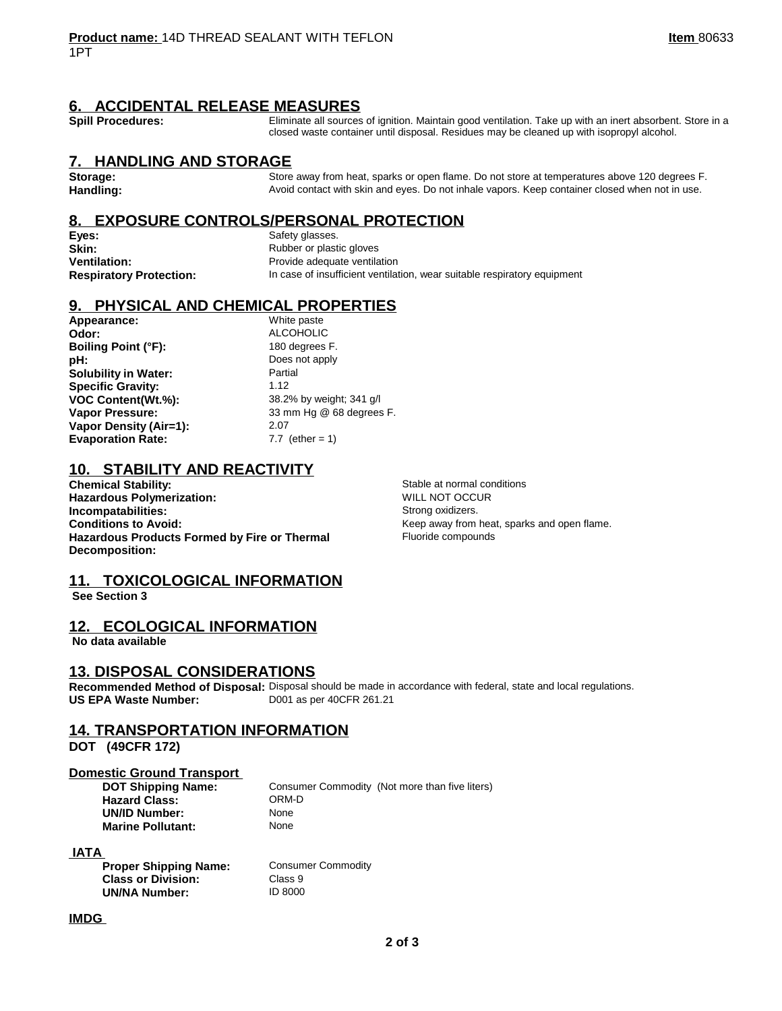#### **6. ACCIDENTAL RELEASE MEASURES**

Spill Procedures: **Eliminate all sources of ignition.** Maintain good ventilation. Take up with an inert absorbent. Store in a closed waste container until disposal. Residues may be cleaned up with isopropyl alcohol.

#### **7. HANDLING AND STORAGE**

Storage: Store away from heat, sparks or open flame. Do not store at temperatures above 120 degrees F.<br>**Handling:** Store and the Avoid contact with skin and eyes. Do not inhale vapors. Keep container closed when not in use **Handling:** Avoid contact with skin and eyes. Do not inhale vapors. Keep container closed when not in use.

#### **8. EXPOSURE CONTROLS/PERSONAL PROTECTION**

**Eyes:** Safety glasses. **Skin:** Rubber or plastic gloves

**Ventilation:** Provide adequate ventilation **Respiratory Protection:** In case of insufficient ventilation, wear suitable respiratory equipment

#### **9. PHYSICAL AND CHEMICAL PROPERTIES**

**Appearance:** White paste **Odor:** ALCOHOLIC **Boiling Point (°F):** 180 degrees F. **pH:** Does not apply **Solubility in Water:** Partial **Specific Gravity:** 1.12 **VOC Content(Wt.%):** 38.2% by weight; 341 g/l **Vapor Pressure:** 33 mm Hg @ 68 degrees F. **Vapor Density (Air=1):** 2.07 **Evaporation Rate:** 7.7 (ether = 1)

### **10. STABILITY AND REACTIVITY**

**Chemical Stability:**  $\begin{array}{ccc}\n\text{Standard Notation:} \\
\text{Standard Notation:} \\
\text{Normal conditions}\n\end{array}$ **Hazardous Polymerization: Incompatabilities:** Strong oxidizers. **Conditions to Avoid:** Conditions to Avoid: The Conditions of Avoid: The Research of Avoid: The Research of Keep away from heat, sparks and open flame. **Hazardous Products Formed by Fire or Thermal Decomposition:**

Fluoride compounds

#### **11. TOXICOLOGICAL INFORMATION**

 **See Section 3** 

#### **12. ECOLOGICAL INFORMATION**

 **No data available** 

#### **13. DISPOSAL CONSIDERATIONS**

**Recommended Method of Disposal:** Disposal should be made in accordance with federal, state and local regulations. **US EPA Waste Number:** D001 as per 40CFR 261.21

**Consumer Commodity** 

**Class 9 UN/NA Number:** ID 8000

#### **14. TRANSPORTATION INFORMATION**

**DOT (49CFR 172)** 

# **Domestic Ground Transport**<br>DOT Shipping Name:

**Hazard Class:** ORM-<br> **UN/ID Number:** None **UN/ID Number:** None<br> **Marine Pollutant:** None **Marine Pollutant:** 

**Consumer Commodity (Not more than five liters)<br>ORM-D** 

#### **IATA**

| <b>Proper Shipping Name:</b> |
|------------------------------|
| <b>Class or Division:</b>    |
| <b>UN/NA Number:</b>         |

#### **IMDG**